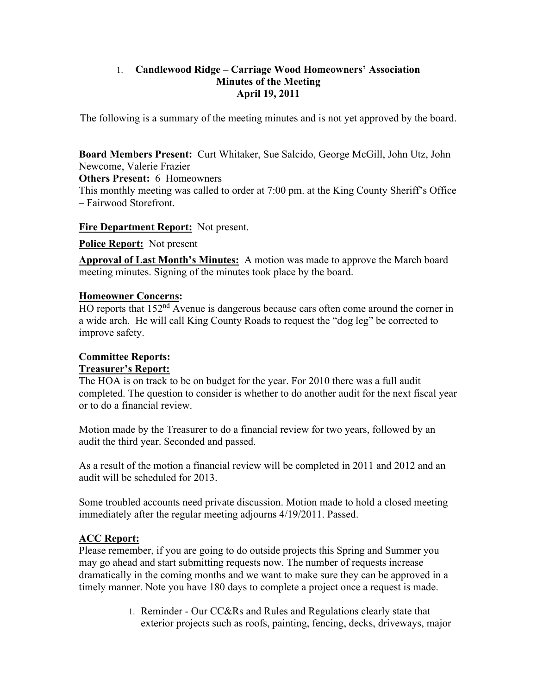#### 1. **Candlewood Ridge – Carriage Wood Homeowners' Association Minutes of the Meeting April 19, 2011**

The following is a summary of the meeting minutes and is not yet approved by the board.

**Board Members Present:** Curt Whitaker, Sue Salcido, George McGill, John Utz, John Newcome, Valerie Frazier

**Others Present:** 6 Homeowners

This monthly meeting was called to order at 7:00 pm. at the King County Sheriff's Office – Fairwood Storefront.

**Fire Department Report:** Not present.

**Police Report:** Not present

**Approval of Last Month's Minutes:** A motion was made to approve the March board meeting minutes. Signing of the minutes took place by the board.

#### **Homeowner Concerns:**

HO reports that 152<sup>nd</sup> Avenue is dangerous because cars often come around the corner in a wide arch. He will call King County Roads to request the "dog leg" be corrected to improve safety.

#### **Committee Reports: Treasurer's Report:**

The HOA is on track to be on budget for the year. For 2010 there was a full audit completed. The question to consider is whether to do another audit for the next fiscal year or to do a financial review.

Motion made by the Treasurer to do a financial review for two years, followed by an audit the third year. Seconded and passed.

As a result of the motion a financial review will be completed in 2011 and 2012 and an audit will be scheduled for 2013.

Some troubled accounts need private discussion. Motion made to hold a closed meeting immediately after the regular meeting adjourns 4/19/2011. Passed.

# **ACC Report:**

Please remember, if you are going to do outside projects this Spring and Summer you may go ahead and start submitting requests now. The number of requests increase dramatically in the coming months and we want to make sure they can be approved in a timely manner. Note you have 180 days to complete a project once a request is made.

> 1. Reminder - Our CC&Rs and Rules and Regulations clearly state that exterior projects such as roofs, painting, fencing, decks, driveways, major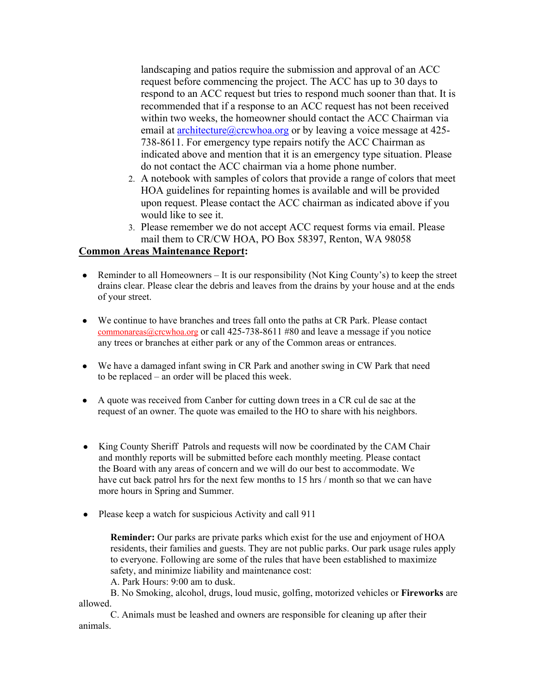landscaping and patios require the submission and approval of an ACC request before commencing the project. The ACC has up to 30 days to respond to an ACC request but tries to respond much sooner than that. It is recommended that if a response to an ACC request has not been received within two weeks, the homeowner should contact the ACC Chairman via email at architecture@crcwhoa.org or by leaving a voice message at 425-738-8611. For emergency type repairs notify the ACC Chairman as indicated above and mention that it is an emergency type situation. Please do not contact the ACC chairman via a home phone number.

- 2. A notebook with samples of colors that provide a range of colors that meet HOA guidelines for repainting homes is available and will be provided upon request. Please contact the ACC chairman as indicated above if you would like to see it.
- 3. Please remember we do not accept ACC request forms via email. Please mail them to CR/CW HOA, PO Box 58397, Renton, WA 98058

#### **Common Areas Maintenance Report:**

- Reminder to all Homeowners It is our responsibility (Not King County's) to keep the street drains clear. Please clear the debris and leaves from the drains by your house and at the ends of your street.
- We continue to have branches and trees fall onto the paths at CR Park. Please contact commonareas@crcwhoa.org or call 425-738-8611 #80 and leave a message if you notice any trees or branches at either park or any of the Common areas or entrances.
- We have a damaged infant swing in CR Park and another swing in CW Park that need to be replaced – an order will be placed this week.
- A quote was received from Canber for cutting down trees in a CR cul de sac at the request of an owner. The quote was emailed to the HO to share with his neighbors.
- King County Sheriff Patrols and requests will now be coordinated by the CAM Chair and monthly reports will be submitted before each monthly meeting. Please contact the Board with any areas of concern and we will do our best to accommodate. We have cut back patrol hrs for the next few months to 15 hrs / month so that we can have more hours in Spring and Summer.
- Please keep a watch for suspicious Activity and call 911

**Reminder:** Our parks are private parks which exist for the use and enjoyment of HOA residents, their families and guests. They are not public parks. Our park usage rules apply to everyone. Following are some of the rules that have been established to maximize safety, and minimize liability and maintenance cost:

A. Park Hours: 9:00 am to dusk.

B. No Smoking, alcohol, drugs, loud music, golfing, motorized vehicles or **Fireworks** are allowed.

C. Animals must be leashed and owners are responsible for cleaning up after their animals.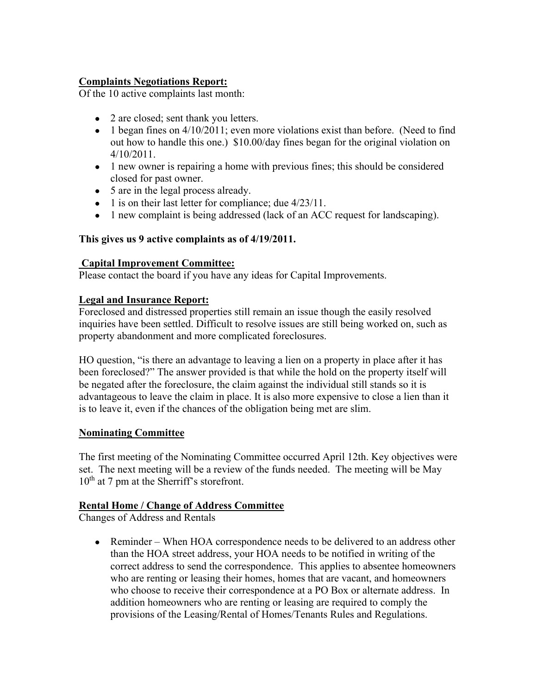# **Complaints Negotiations Report:**

Of the 10 active complaints last month:

- 2 are closed; sent thank you letters.
- 1 began fines on 4/10/2011; even more violations exist than before. (Need to find out how to handle this one.) \$10.00/day fines began for the original violation on 4/10/2011.
- 1 new owner is repairing a home with previous fines; this should be considered closed for past owner.
- 5 are in the legal process already.
- 1 is on their last letter for compliance; due  $4/23/11$ .
- 1 new complaint is being addressed (lack of an ACC request for landscaping).

### **This gives us 9 active complaints as of 4/19/2011.**

### **Capital Improvement Committee:**

Please contact the board if you have any ideas for Capital Improvements.

### **Legal and Insurance Report:**

Foreclosed and distressed properties still remain an issue though the easily resolved inquiries have been settled. Difficult to resolve issues are still being worked on, such as property abandonment and more complicated foreclosures.

HO question, "is there an advantage to leaving a lien on a property in place after it has been foreclosed?" The answer provided is that while the hold on the property itself will be negated after the foreclosure, the claim against the individual still stands so it is advantageous to leave the claim in place. It is also more expensive to close a lien than it is to leave it, even if the chances of the obligation being met are slim.

### **Nominating Committee**

The first meeting of the Nominating Committee occurred April 12th. Key objectives were set. The next meeting will be a review of the funds needed. The meeting will be May  $10<sup>th</sup>$  at 7 pm at the Sherriff's storefront.

### **Rental Home / Change of Address Committee**

Changes of Address and Rentals

• Reminder – When HOA correspondence needs to be delivered to an address other than the HOA street address, your HOA needs to be notified in writing of the correct address to send the correspondence. This applies to absentee homeowners who are renting or leasing their homes, homes that are vacant, and homeowners who choose to receive their correspondence at a PO Box or alternate address. In addition homeowners who are renting or leasing are required to comply the provisions of the Leasing/Rental of Homes/Tenants Rules and Regulations.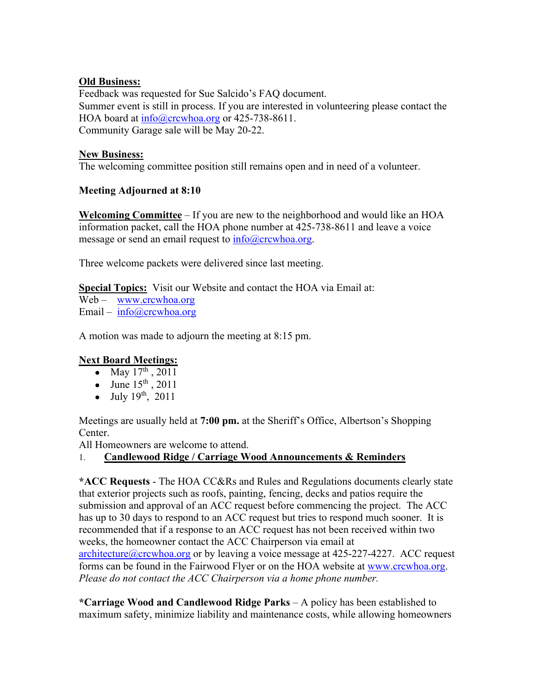## **Old Business:**

Feedback was requested for Sue Salcido's FAQ document. Summer event is still in process. If you are interested in volunteering please contact the HOA board at info@crcwhoa.org or 425-738-8611. Community Garage sale will be May 20-22.

## **New Business:**

The welcoming committee position still remains open and in need of a volunteer.

# **Meeting Adjourned at 8:10**

**Welcoming Committee** – If you are new to the neighborhood and would like an HOA information packet, call the HOA phone number at 425-738-8611 and leave a voice message or send an email request to  $\frac{info@crcwhoa.org}{info@cccwhoa.org}$ .

Three welcome packets were delivered since last meeting.

**Special Topics:** Visit our Website and contact the HOA via Email at:

Web – www.crcwhoa.org Email – info@crcwhoa.org

A motion was made to adjourn the meeting at 8:15 pm.

# **Next Board Meetings:**

- May  $17^{\text{th}}$ , 2011
- June  $15^{th}$ , 2011
- July  $19^{th}$ ,  $2011$

Meetings are usually held at **7:00 pm.** at the Sheriff's Office, Albertson's Shopping Center.

All Homeowners are welcome to attend.

# 1. **Candlewood Ridge / Carriage Wood Announcements & Reminders**

**\*ACC Requests** - The HOA CC&Rs and Rules and Regulations documents clearly state that exterior projects such as roofs, painting, fencing, decks and patios require the submission and approval of an ACC request before commencing the project. The ACC has up to 30 days to respond to an ACC request but tries to respond much sooner. It is recommended that if a response to an ACC request has not been received within two weeks, the homeowner contact the ACC Chairperson via email at architecture@crcwhoa.org or by leaving a voice message at 425-227-4227. ACC request forms can be found in the Fairwood Flyer or on the HOA website at www.crcwhoa.org. *Please do not contact the ACC Chairperson via a home phone number.*

**\*Carriage Wood and Candlewood Ridge Parks** – A policy has been established to maximum safety, minimize liability and maintenance costs, while allowing homeowners